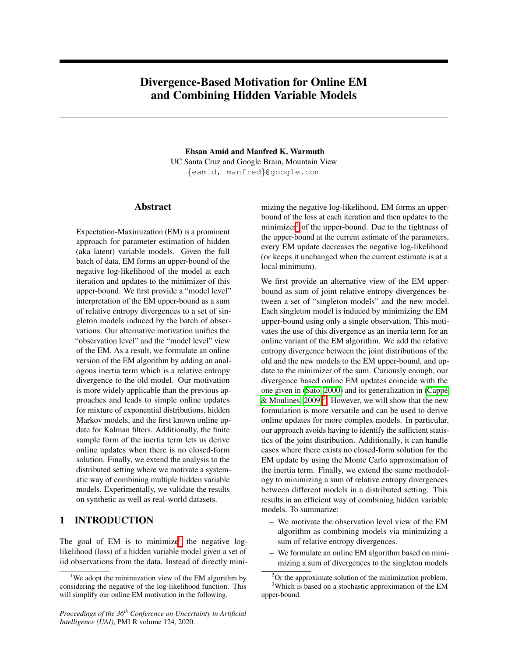# <span id="page-0-5"></span><span id="page-0-3"></span>Divergence-Based Motivation for Online EM and Combining Hidden Variable Models

Ehsan Amid and Manfred K. Warmuth UC Santa Cruz and Google Brain, Mountain View *{*eamid, manfred*}*@google.com

# Abstract

Expectation-Maximization (EM) is a prominent approach for parameter estimation of hidden (aka latent) variable models. Given the full batch of data, EM forms an upper-bound of the negative log-likelihood of the model at each iteration and updates to the minimizer of this upper-bound. We first provide a "model level" interpretation of the EM upper-bound as a sum of relative entropy divergences to a set of singleton models induced by the batch of observations. Our alternative motivation unifies the "observation level" and the "model level" view of the EM. As a result, we formulate an online version of the EM algorithm by adding an analogous inertia term which is a relative entropy divergence to the old model. Our motivation is more widely applicable than the previous approaches and leads to simple online updates for mixture of exponential distributions, hidden Markov models, and the first known online update for Kalman filters. Additionally, the finite sample form of the inertia term lets us derive online updates when there is no closed-form solution. Finally, we extend the analysis to the distributed setting where we motivate a systematic way of combining multiple hidden variable models. Experimentally, we validate the results on synthetic as well as real-world datasets.

# <span id="page-0-4"></span>1 INTRODUCTION

The goal of EM is to minimize<sup> $\parallel$ </sup> the negative loglikelihood (loss) of a hidden variable model given a set of iid observations from the data. Instead of directly mini-

*Proceedings of the 36th Conference on Uncertainty in Artificial Intelligence (UAI)*, PMLR volume 124, 2020.

mizing the negative log-likelihood, EM forms an upperbound of the loss at each iteration and then updates to the minimizer $\frac{2}{1}$  of the upper-bound. Due to the tightness of the upper-bound at the current estimate of the parameters, every EM update decreases the negative log-likelihood (or keeps it unchanged when the current estimate is at a local minimum).

We first provide an alternative view of the EM upperbound as sum of joint relative entropy divergences between a set of "singleton models" and the new model. Each singleton model is induced by minimizing the EM upper-bound using only a single observation. This motivates the use of this divergence as an inertia term for an online variant of the EM algorithm. We add the relative entropy divergence between the joint distributions of the old and the new models to the EM upper-bound, and update to the minimizer of the sum. Curiously enough, our divergence based online EM updates coincide with the one given in [\(Sato, 2000\)](#page-9-0) and its generalization in (Cappé & Moulines,  $2009\frac{3}{5}$ . However, we will show that the new formulation is more versatile and can be used to derive online updates for more complex models. In particular, our approach avoids having to identify the sufficient statistics of the joint distribution. Additionally, it can handle cases where there exists no closed-form solution for the EM update by using the Monte Carlo approximation of the inertia term. Finally, we extend the same methodology to minimizing a sum of relative entropy divergences between different models in a distributed setting. This results in an efficient way of combining hidden variable models. To summarize:

- We motivate the observation level view of the EM algorithm as combining models via minimizing a sum of relative entropy divergences.
- We formulate an online EM algorithm based on minimizing a sum of divergences to the singleton models

<span id="page-0-0"></span><sup>&</sup>lt;sup>1</sup>We adopt the minimization view of the EM algorithm by considering the negative of the log-likelihood function. This will simplify our online EM motivation in the following.

<span id="page-0-2"></span><span id="page-0-1"></span><sup>&</sup>lt;sup>2</sup>Or the approximate solution of the minimization problem. <sup>3</sup>Which is based on a stochastic approximation of the EM upper-bound.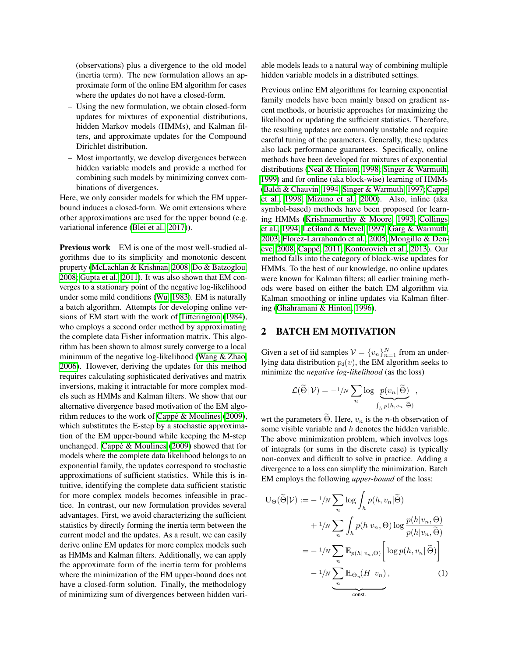(observations) plus a divergence to the old model (inertia term). The new formulation allows an approximate form of the online EM algorithm for cases where the updates do not have a closed-form.

- Using the new formulation, we obtain closed-form updates for mixtures of exponential distributions, hidden Markov models (HMMs), and Kalman filters, and approximate updates for the Compound Dirichlet distribution.
- Most importantly, we develop divergences between hidden variable models and provide a method for combining such models by minimizing convex combinations of divergences.

Here, we only consider models for which the EM upperbound induces a closed-form. We omit extensions where other approximations are used for the upper bound (e.g. variational inference [\(Blei et al., 2017\)](#page-9-2).

Previous work EM is one of the most well-studied algorithms due to its simplicity and monotonic descent property [\(McLachlan & Krishnan, 2008;](#page-9-3) [Do & Batzoglou,](#page-9-4) [2008;](#page-9-4) [Gupta et al., 2011\)](#page-9-5). It was also shown that EM converges to a stationary point of the negative log-likelihood under some mild conditions  $(Wu, 1983)$ . EM is naturally a batch algorithm. Attempts for developing online ver-sions of EM start with the work of [Titterington](#page-9-7) [\(1984\)](#page-9-7), who employs a second order method by approximating the complete data Fisher information matrix. This algorithm has been shown to almost surely converge to a local minimum of the negative log-likelihood (Wang  $&$  Zhao) [2006\)](#page-9-8). However, deriving the updates for this method requires calculating sophisticated derivatives and matrix inversions, making it intractable for more complex models such as HMMs and Kalman filters. We show that our alternative divergence based motivation of the EM algorithm reduces to the work of  $C$ appé & Moulines [\(2009\)](#page-9-1), which substitutes the E-step by a stochastic approximation of the EM upper-bound while keeping the M-step unchanged. Cappé  $&$  Moulines [\(2009\)](#page-9-1) showed that for models where the complete data likelihood belongs to an exponential family, the updates correspond to stochastic approximations of sufficient statistics. While this is intuitive, identifying the complete data sufficient statistic for more complex models becomes infeasible in practice. In contrast, our new formulation provides several advantages. First, we avoid characterizing the sufficient statistics by directly forming the inertia term between the current model and the updates. As a result, we can easily derive online EM updates for more complex models such as HMMs and Kalman filters. Additionally, we can apply the approximate form of the inertia term for problems where the minimization of the EM upper-bound does not have a closed-form solution. Finally, the methodology of minimizing sum of divergences between hidden variable models leads to a natural way of combining multiple hidden variable models in a distributed settings.

Previous online EM algorithms for learning exponential family models have been mainly based on gradient ascent methods, or heuristic approaches for maximizing the likelihood or updating the sufficient statistics. Therefore, the resulting updates are commonly unstable and require careful tuning of the parameters. Generally, these updates also lack performance guarantees. Specifically, online methods have been developed for mixtures of exponential distributions [\(Neal & Hinton, 1998;](#page-9-9) [Singer & Warmuth,](#page-9-10) [1999\)](#page-9-10) and for online (aka block-wise) learning of HMMs [\(Baldi & Chauvin, 1994;](#page-9-11) [Singer & Warmuth, 1997;](#page-9-12) Cappé [et al., 1998;](#page-9-13) [Mizuno et al., 2000\)](#page-9-14). Also, inline (aka symbol-based) methods have been proposed for learn-ing HMMs [\(Krishnamurthy & Moore, 1993;](#page-9-15) [Collings](#page-9-16) [et al., 1994;](#page-9-16) [LeGland & Mevel, 1997;](#page-9-17) [Garg & Warmuth,](#page-9-18) [2003;](#page-9-18) [Florez-Larrahondo et al., 2005;](#page-9-19) [Mongillo & Den](#page-9-20)[eve, 2008;](#page-9-20) Cappé, 2011; [Kontorovich et al., 2013\)](#page-9-22). Our method falls into the category of block-wise updates for HMMs. To the best of our knowledge, no online updates were known for Kalman filters; all earlier training methods were based on either the batch EM algorithm via Kalman smoothing or inline updates via Kalman filtering [\(Ghahramani & Hinton, 1996\)](#page-9-23).

# 2 BATCH EM MOTIVATION

Given a set of iid samples  $V = \{v_n\}_{n=1}^N$  from an underlying data distribution  $p_d(v)$ , the EM algorithm seeks to minimize the *negative log-likelihood* (as the loss)

$$
\mathcal{L}(\widetilde{\Theta}|\,\mathcal{V}) = -\frac{1}{N} \sum_{n} \log \frac{p(v_n|\,\widetilde{\Theta})}{\int_h p(h,v_n|\,\widetilde{\Theta})},
$$

wrt the parameters  $\widetilde{\Theta}$ . Here,  $v_n$  is the *n*-th observation of some visible variable and *h* denotes the hidden variable. The above minimization problem, which involves logs of integrals (or sums in the discrete case) is typically non-convex and difficult to solve in practice. Adding a divergence to a loss can simplify the minimization. Batch EM employs the following *upper-bound* of the loss:

<span id="page-1-0"></span>
$$
U_{\Theta}(\widetilde{\Theta}|\mathcal{V}) := -1/N \sum_{n} \log \int_{h} p(h, v_{n}|\widetilde{\Theta})
$$
  
+  $1/N \sum_{n} \int_{h} p(h|v_{n}, \Theta) \log \frac{p(h|v_{n}, \Theta)}{p(h|v_{n}, \widetilde{\Theta})}$   
=  $-1/N \sum_{n} \mathbb{E}_{p(h|v_{n}, \Theta)} \left[ \log p(h, v_{n}|\widetilde{\Theta}) \right]$   
 $-1/N \sum_{n} \mathbb{H}_{\Theta_{n}}(H|v_{n}),$  (1)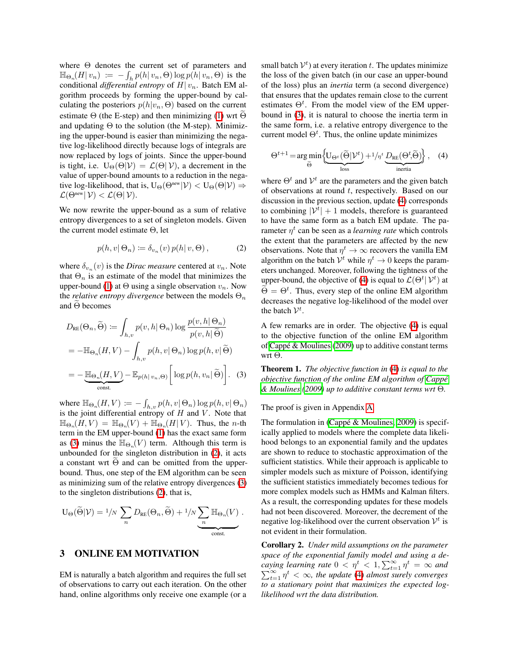where  $\Theta$  denotes the current set of parameters and  $\mathbb{H}_{\Theta_n}(H|v_n) := -\int_h p(h|v_n, \Theta) \log p(h|v_n, \Theta)$  is the conditional *differential entropy* of *H| vn*. Batch EM algorithm proceeds by forming the upper-bound by calculating the posteriors  $p(h|v_n, \Theta)$  based on the current estimate  $\Theta$  (the E-step) and then minimizing  $\Pi$  wrt  $\Theta$ and updating  $\Theta$  to the solution (the M-step). Minimizing the upper-bound is easier than minimizing the negative log-likelihood directly because logs of integrals are now replaced by logs of joints. Since the upper-bound is tight, i.e.  $U_{\Theta}(\Theta|\mathcal{V}) = \mathcal{L}(\Theta|\mathcal{V})$ , a decrement in the value of upper-bound amounts to a reduction in the negative log-likelihood, that is,  $U_{\Theta}(\Theta^{\text{new}}|\mathcal{V}) < U_{\Theta}(\Theta|\mathcal{V}) \Rightarrow$  $\mathcal{L}(\Theta^{\text{new}} | \mathcal{V}) < \mathcal{L}(\Theta | \mathcal{V}).$ 

We now rewrite the upper-bound as a sum of relative entropy divergences to a set of singleton models. Given the current model estimate  $\Theta$ , let

<span id="page-2-1"></span>
$$
p(h, v | \Theta_n) \coloneqq \delta_{v_n}(v) \, p(h | v, \Theta), \tag{2}
$$

where  $\delta_{v_n}(v)$  is the *Dirac measure* centered at  $v_n$ . Note that  $\Theta_n$  is an estimate of the model that minimizes the upper-bound  $\Pi$  at  $\Theta$  using a single observation  $v_n$ . Now the *relative entropy divergence* between the models  $\Theta_n$ and  $\Theta$  becomes

$$
D_{RE}(\Theta_n, \widetilde{\Theta}) := \int_{h,v} p(v, h | \Theta_n) \log \frac{p(v, h | \Theta_n)}{p(v, h | \widetilde{\Theta})}
$$
  
= 
$$
-\mathbb{H}_{\Theta_n}(H, V) - \int_{h,v} p(h, v | \Theta_n) \log p(h, v | \widetilde{\Theta})
$$
  
= 
$$
-\underbrace{\mathbb{H}_{\Theta_n}(H, V)}_{\text{const.}} - \mathbb{E}_{p(h | v_n, \Theta)} \left[ \log p(h, v_n | \widetilde{\Theta}) \right].
$$
 (3)

where  $\mathbb{H}_{\Theta_n}(H, V) \coloneqq - \int_{h,v} p(h, v | \Theta_n) \log p(h, v | \Theta_n)$ is the joint differential entropy of *H* and *V* . Note that  $\mathbb{H}_{\Theta_n}(H, V) = \mathbb{H}_{\Theta_n}(V) + \mathbb{H}_{\Theta_n}(H|V)$ . Thus, the *n*-th term in the EM upper-bound  $\Box$  has the exact same form as  $(3)$  minus the  $\mathbb{H}_{\Theta_n}(V)$  term. Although this term is unbounded for the singleton distribution in  $\overline{2}$ , it acts a constant wrt  $\Theta$  and can be omitted from the upperbound. Thus, one step of the EM algorithm can be seen as minimizing sum of the relative entropy divergences  $(3)$ to the singleton distributions  $(2)$ , that is,

$$
U_{\Theta}(\widetilde{\Theta}|\mathcal{V}) = \frac{1}{N} \sum_{n} D_{RE}(\Theta_n, \widetilde{\Theta}) + \frac{1}{N} \underbrace{\sum_{n} \mathbb{H}_{\Theta_n}(V)}_{\text{const.}}.
$$

# 3 ONLINE EM MOTIVATION

EM is naturally a batch algorithm and requires the full set of observations to carry out each iteration. On the other hand, online algorithms only receive one example (or a

small batch  $V^t$ ) at every iteration *t*. The updates minimize the loss of the given batch (in our case an upper-bound of the loss) plus an *inertia* term (a second divergence) that ensures that the updates remain close to the current estimates  $\Theta^t$ . From the model view of the EM upperbound in  $(3)$ , it is natural to choose the inertia term in the same form, i.e. a relative entropy divergence to the current model  $\Theta^t$ . Thus, the online update minimizes

<span id="page-2-2"></span>
$$
\Theta^{t+1} = \underset{\widetilde{\Theta}}{\arg\min} \left\{ \underbrace{U_{\Theta^t}(\widetilde{\Theta}|\mathcal{V}^t)}_{\text{loss}} + \frac{1}{\eta^t} \underbrace{D_{\text{RE}}(\Theta^t, \widetilde{\Theta})}_{\text{inertia}} \right\}, \quad (4)
$$

where  $\Theta^t$  and  $V^t$  are the parameters and the given batch of observations at round *t*, respectively. Based on our discussion in the previous section, update  $\overline{4}$  corresponds to combining  $|\mathcal{V}^t| + 1$  models, therefore is guaranteed to have the same form as a batch EM update. The parameter  $\eta^t$  can be seen as a *learning rate* which controls the extent that the parameters are affected by the new observations. Note that  $\eta^t \to \infty$  recovers the vanilla EM algorithm on the batch  $V^t$  while  $\eta^t \to 0$  keeps the parameters unchanged. Moreover, following the tightness of the upper-bound, the objective of  $\overline{A}$  is equal to  $\mathcal{L}(\Theta^t | \mathcal{V}^t)$  at  $\widetilde{\Theta} = \Theta^t$ . Thus, every step of the online EM algorithm decreases the negative log-likelihood of the model over the batch  $V^t$ .

A few remarks are in order. The objective  $\left(\frac{4}{9}\right)$  is equal to the objective function of the online EM algorithm of Cappé & Moulines  $(2009)$  up to additive constant terms wrt  $\Theta$ .

<span id="page-2-0"></span>Theorem 1. *The objective function in* [\(4\)](#page-2-2) *is equal to the objective function of the online EM algorithm of [Cappe´](#page-9-1)*  $\frac{1}{2}$ *[& Moulines](#page-9-1)* [\(2009\)](#page-9-1) up to additive constant terms wrt  $\Theta$ .

#### The proof is given in Appendix [A.](#page-0-3)

The formulation in  $(Cappé & Moulines, 2009)$  is specifically applied to models where the complete data likelihood belongs to an exponential family and the updates are shown to reduce to stochastic approximation of the sufficient statistics. While their approach is applicable to simpler models such as mixture of Poisson, identifying the sufficient statistics immediately becomes tedious for more complex models such as HMMs and Kalman filters. As a result, the corresponding updates for these models had not been discovered. Moreover, the decrement of the negative log-likelihood over the current observation  $V^t$  is not evident in their formulation.

Corollary 2. *Under mild assumptions on the parameter space of the exponential family model and using a decaying learning rate*  $0 < \eta^t < 1$ ,  $\sum_{t=1}^{\infty} \eta^t = \infty$  and  $\sum_{t=1}^{\infty} \eta^t < \infty$ , the update  $\overline{A}$  almost surely converges  $\sum_{t=1}^{\infty} \eta^t < \infty$ , the update  $\Box$  *almost surely converges to a stationary point that maximizes the expected loglikelihood wrt the data distribution.*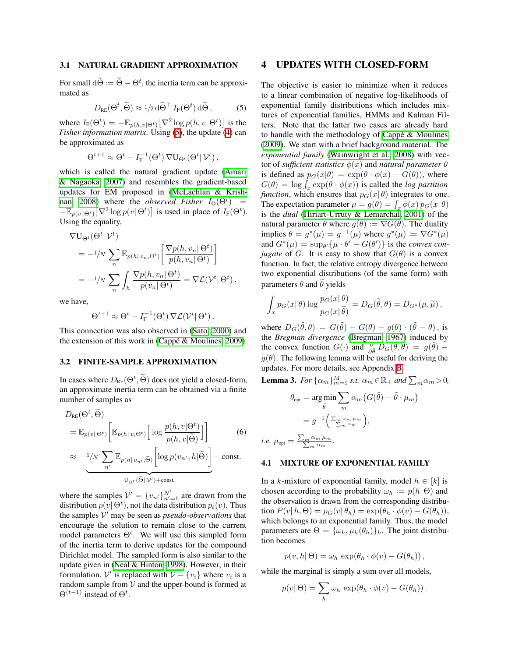#### 3.1 NATURAL GRADIENT APPROXIMATION

For small  $d\Theta := \Theta - \Theta^t$ , the inertia term can be approximated as

<span id="page-3-0"></span>
$$
D_{\text{RE}}(\Theta^t, \widetilde{\Theta}) \approx 1/2 \,\mathrm{d}\widetilde{\Theta}^\top \, I_{\text{F}}(\Theta^t) \,\mathrm{d}\widetilde{\Theta} \,, \tag{5}
$$

where  $I_F(\Theta^t) = -\mathbb{E}_{p(h,v|\Theta^t)} \left[ \nabla^2 \log p(h,v|\Theta^t) \right]$  is the *Fisher information matrix.* Using  $(5)$ , the update  $(4)$  can be approximated as

$$
\Theta^{t+1} \approx \Theta^t - I_{\mathcal{F}}^{-1}(\Theta^t) \, \nabla U_{\Theta^t}(\Theta^t | \mathcal{V}^t),
$$

which is called the natural gradient update [\(Amari](#page-9-24) [& Nagaoka, 2007\)](#page-9-24) and resembles the gradient-based updates for EM proposed in [\(McLachlan & Krish-](#page-9-3) $\text{man}$ , 2008) where the *observed Fisher*  $I_0(\Theta^t)$  =  $\overline{-\mathbb{E}}_{p(v|\Theta^t)}[\nabla^2 \log p(v|\Theta^t)]$  is used in place of  $I_F(\Theta^t)$ . Using the equality,

$$
\nabla U_{\Theta^t}(\Theta^t | \mathcal{V}^t)
$$
  
=  $-1/N \sum_n \mathbb{E}_{p(h|v_n, \Theta^t)} \left[ \frac{\nabla p(h, v_n | \Theta^t)}{p(h, v_n | \Theta^t)} \right]$   
=  $-1/N \sum_n \int_h \frac{\nabla p(h, v_n | \Theta^t)}{p(v_n | \Theta^t)} = \nabla \mathcal{L}(\mathcal{V}^t | \Theta^t),$ 

we have,

$$
\Theta^{t+1} \approx \Theta^t - I_{\mathcal{F}}^{-1}(\Theta^t) \, \nabla \mathcal{L}(\mathcal{V}^t | \, \Theta^t) \, .
$$

This connection was also observed in [\(Sato, 2000\)](#page-9-0) and the extension of this work in  $(Cappé & Moulines, 2009)$ .

### 3.2 FINITE-SAMPLE APPROXIMATION

In cases where  $D_{RE}(\Theta^t, \tilde{\Theta})$  does not yield a closed-form, an approximate inertia term can be obtained via a finite number of samples as

$$
D_{RE}(\Theta^{t}, \widetilde{\Theta})
$$
\n
$$
= \mathbb{E}_{p(v|\Theta^{t})} \left[ \mathbb{E}_{p(h|v,\Theta^{t})} \left[ \log \frac{p(h,v|\Theta^{t})}{p(h,v|\widetilde{\Theta})} \right] \right]
$$
\n
$$
\approx -\frac{1}{N'} \sum_{n'} \mathbb{E}_{p(h|v_{n'},\widetilde{\Theta})} \left[ \log p(v_{n'}, h|\widetilde{\Theta}) \right] + \text{const.}
$$
\n
$$
U_{\Theta^{t}}(\widetilde{\Theta}|V') + \text{const.}
$$
\n(6)

where the samples  $V' = \{v_{n'}\}_{n'=1}^{N'}$  are drawn from the distribution  $p(v | \Theta^t)$ , not the data distribution  $p_d(v)$ . Thus the samples  $V'$  may be seen as *pseudo-observations* that encourage the solution to remain close to the current model parameters  $\Theta^t$ . We will use this sampled form of the inertia term to derive updates for the compound Dirichlet model. The sampled form is also similar to the update given in  $(Neal & Hinton, 1998)$ . However, in their formulation,  $V'$  is replaced with  $V - \{v_i\}$  where  $v_i$  is a random sample from  $V$  and the upper-bound is formed at  $\Theta^{(t-1)}$  instead of  $\Theta^t$ .

# 4 UPDATES WITH CLOSED-FORM

The objective is easier to minimize when it reduces to a linear combination of negative log-likelihoods of exponential family distributions which includes mixtures of exponential families, HMMs and Kalman Filters. Note that the latter two cases are already hard to handle with the methodology of  $C$ appé  $\&$  Moulines [\(2009\)](#page-9-1). We start with a brief background material. The *exponential family* [\(Wainwright et al., 2008\)](#page-9-25) with vector of *sufficient statistics*  $\phi(x)$  and *natural parameter*  $\theta$ is defined as  $p_G(x|\theta) = \exp(\theta \cdot \phi(x) - G(\theta))$ , where  $G(\theta) = \log \int_x \exp(\theta \cdot \phi(x))$  is called the *log partition function*, which ensures that  $p_G(x|\theta)$  integrates to one. The expectation parameter  $\mu = g(\theta) = \int_x \phi(x) p_G(x|\theta)$ is the *dual* [\(Hiriart-Urruty & Lemarchal, 2001\)](#page-9-26) of the natural parameter  $\theta$  where  $g(\theta) := \nabla G(\theta)$ . The duality implies  $\theta = g^*(\mu) = g^{-1}(\mu)$  where  $g^*(\mu) := \nabla G^*(\mu)$ and  $G^*(\mu) = \sup_{\theta} {\{\mu \cdot \theta' - G(\theta')\}}$  is the *convex conjugate* of *G*. It is easy to show that  $G(\theta)$  is a convex function. In fact, the relative entropy divergence between two exponential distributions (of the same form) with parameters  $\theta$  and  $\theta$  yields

$$
\int_x p_G(x|\theta) \log \frac{p_G(x|\theta)}{p_G(x|\tilde{\theta})} = D_G(\tilde{\theta}, \theta) = D_{G^*}(\mu, \tilde{\mu}),
$$

where  $D_G(\tilde{\theta}, \theta) = G(\tilde{\theta}) - G(\theta) - g(\theta) \cdot (\tilde{\theta} - \theta)$ , is the *Bregman divergence* [\(Bregman, 1967\)](#page-9-27) induced by the convex function  $G(\cdot)$  and  $\frac{\partial}{\partial \theta} D_G(\tilde{\theta}, \theta) = g(\tilde{\theta}) - \theta$  $g(\theta)$ . The following lemma will be useful for deriving the updates. For more details, see Appendix [B.](#page-0-4)

<span id="page-3-1"></span>**Lemma 3.** For  $\{\alpha_m\}_{m=1}^M$  s.t.  $\alpha_m \in \mathbb{R}_+$  and  $\sum_m \alpha_m > 0$ ,

$$
\theta_{\text{opt}} = \underset{\tilde{\theta}}{\arg \min} \sum_{m} \alpha_m \left( G(\tilde{\theta}) - \tilde{\theta} \cdot \mu_m \right)
$$

$$
= g^{-1} \left( \frac{\sum_{m} \alpha_m \mu_m}{\sum_{m} \alpha_m} \right),
$$
  
i.e. 
$$
\mu_{\text{opt}} = \frac{\sum_{m} \alpha_m \mu_m}{\sum_{m} \alpha_m}.
$$

#### 4.1 MIXTURE OF EXPONENTIAL FAMILY

In a *k*-mixture of exponential family, model  $h \in [k]$  is chosen according to the probability  $\omega_h := p(h | \Theta)$  and the observation is drawn from the corresponding distribu- $\text{tion } P(v|h, \Theta) = p_G(v|\theta_h) = \exp(\theta_h \cdot \phi(v) - G(\theta_h)),$ which belongs to an exponential family. Thus, the model parameters are  $\Theta = {\{\omega_h, \mu_h(\theta_h)\}_h}$ . The joint distribution becomes

$$
p(v, h | \Theta) = \omega_h \exp(\theta_h \cdot \phi(v) - G(\theta_h)),
$$

while the marginal is simply a sum over all models,

$$
p(v | \Theta) = \sum_{h} \omega_h \exp(\theta_h \cdot \phi(v) - G(\theta_h)).
$$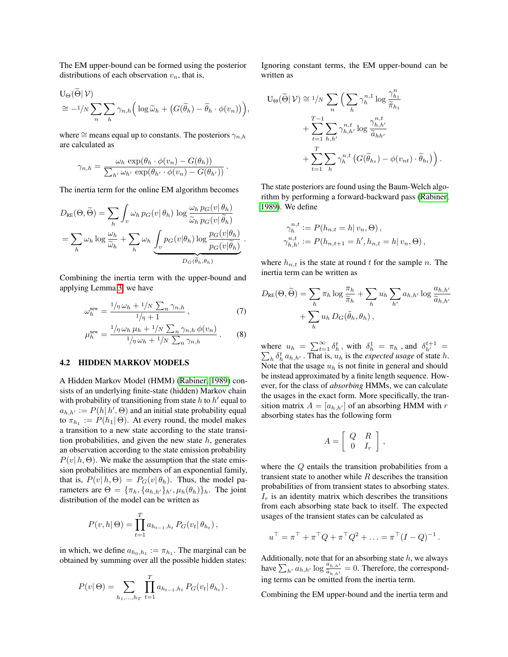The EM upper-bound can be formed using the posterior distributions of each observation  $v_n$ , that is,

$$
U_{\Theta}(\widetilde{\Theta}|\mathcal{V})\n\cong -1/N \sum_{n} \sum_{h} \gamma_{n,h} \Big( \log \widetilde{\omega}_h + \big( G(\widetilde{\theta}_h) - \widetilde{\theta}_h \cdot \phi(v_n) \big) \Big),
$$

where  $\cong$  means equal up to constants. The posteriors  $\gamma_{n,h}$ are calculated as

$$
\gamma_{n,h} = \frac{\omega_h \exp(\theta_h \cdot \phi(v_n) - G(\theta_h))}{\sum_{h'} \omega_{h'} \exp(\theta_{h'} \cdot \phi(v_n) - G(\theta_{h'}))}.
$$

The inertia term for the online EM algorithm becomes

$$
D_{RE}(\Theta, \widetilde{\Theta}) = \sum_{h} \int_{v} \omega_h p_G(v|\theta_h) \log \frac{\omega_h p_G(v|\theta_h)}{\widetilde{\omega}_h p_G(v|\widetilde{\theta}_h)}
$$
  
= 
$$
\sum_{h} \omega_h \log \frac{\omega_h}{\widetilde{\omega}_h} + \sum_{h} \omega_h \underbrace{\int_{v} p_G(v|\theta_h) \log \frac{p_G(v|\theta_h)}{p_G(v|\widetilde{\theta}_h)}}_{D_G(\widetilde{\theta}_h, \theta_h)}.
$$

Combining the inertia term with the upper-bound and applying Lemma  $\overline{3}$ , we have

$$
\omega_h^{\text{new}} = \frac{1/n \omega_h + 1/N \sum_n \gamma_{n,h}}{1/n + 1},\tag{7}
$$

$$
\mu_h^{\text{new}} = \frac{1/\eta \omega_h \mu_h + 1/N \sum_n \gamma_{n,h} \phi(v_n)}{1/\eta \omega_h + 1/N \sum_n \gamma_{n,h}}.
$$
 (8)

#### 4.2 HIDDEN MARKOV MODELS

A Hidden Markov Model (HMM) [\(Rabiner, 1989\)](#page-9-28) consists of an underlying finite-state (hidden) Markov chain with probability of transitioning from state  $h$  to  $h'$  equal to  $a_{h,h'} := P(h|h', \Theta)$  and an initial state probability equal to  $\pi_{h_1} := P(h_1 | \Theta)$ . At every round, the model makes a transition to a new state according to the state transition probabilities, and given the new state *h*, generates an observation according to the state emission probability  $P(v|h, \Theta)$ . We make the assumption that the state emission probabilities are members of an exponential family, that is,  $P(v|h, \Theta) = P_G(v|\theta_h)$ . Thus, the model parameters are  $\Theta = {\pi_h, {\{a_{h,h'}\}_h, \mu_h(\theta_h)\}_h}$ . The joint distribution of the model can be written as

$$
P(v, h | \Theta) = \prod_{t=1}^{T} a_{h_{t-1}, h_t} P_G(v_t | \theta_{h_t}),
$$

in which, we define  $a_{h_0,h_1} := \pi_{h_1}$ . The marginal can be obtained by summing over all the possible hidden states:

$$
P(v | \Theta) = \sum_{h_1, ..., h_T} \prod_{t=1}^T a_{h_{t-1}, h_t} P_G(v_t | \theta_{h_t}).
$$

Ignoring constant terms, the EM upper-bound can be written as

$$
U_{\Theta}(\widetilde{\Theta}|\mathcal{V}) \cong \frac{1}{N} \sum_{n} \Big( \sum_{h} \gamma_{h}^{n,1} \log \frac{\gamma_{h_1}^{n}}{\widetilde{\pi}_{h_1}} + \sum_{t=1}^{T-1} \sum_{h,h'} \gamma_{h,h'}^{n,t} \log \frac{\gamma_{h,h'}^{n,t}}{\widetilde{a}_{hh'}} + \sum_{t=1}^{T} \sum_{h} \gamma_{h}^{n,t} \left( G(\widetilde{\theta}_{h_t}) - \phi(v_{nt}) \cdot \widetilde{\theta}_{h_t} \right) \Big).
$$

The state posteriors are found using the Baum-Welch algorithm by performing a forward-backward pass [\(Rabiner,](#page-9-28) [1989\)](#page-9-28). We define

$$
\gamma_{h}^{n,t} := P(h_{n,t} = h | v_n, \Theta),
$$
  

$$
\gamma_{h,h'}^{n,t} := P(h_{n,t+1} = h', h_{n,t} = h | v_n, \Theta),
$$

where  $h_{n,t}$  is the state at round  $t$  for the sample  $n$ . The inertia term can be written as

$$
D_{RE}(\Theta, \widetilde{\Theta}) = \sum_{h} \pi_h \log \frac{\pi_h}{\widetilde{\pi}_h} + \sum_{h} u_h \sum_{h'} a_{h,h'} \log \frac{a_{h,h'}}{\widetilde{a}_{h,h'}}
$$

$$
+ \sum_{h} u_h D_G(\widetilde{\theta}_h, \theta_h),
$$

where  $u_h = \sum_{t=1}^{\infty} \delta_h^t$ , with  $\delta_h^1 = \pi_h$ , and  $\delta_{h'}^{t+1} =$  $\sum_h \delta_h^t a_{h,h'}$ . That is,  $u_h$  is the *expected usage* of state *h*. Note that the usage  $u_h$  is not finite in general and should be instead approximated by a finite length sequence. However, for the class of *absorbing* HMMs, we can calculate the usages in the exact form. More specifically, the transition matrix  $A = [a_{h,h'}]$  of an absorbing HMM with *r* absorbing states has the following form

$$
A=\left[\begin{array}{cc} Q & R \\ 0 & I_r \end{array}\right]\,,
$$

where the *Q* entails the transition probabilities from a transient state to another while *R* describes the transition probabilities of from transient states to absorbing states.  $I_r$  is an identity matrix which describes the transitions from each absorbing state back to itself. The expected usages of the transient states can be calculated as

$$
u^{\top} = \pi^{\top} + \pi^{\top} Q + \pi^{\top} Q^2 + \ldots = \pi^{\top} (I - Q)^{-1}.
$$

Additionally, note that for an absorbing state *h*, we always have  $\sum_{h'} a_{h,h'} \log \frac{a_{h,h'}}{a_{h,h'}} = 0$ . Therefore, the corresponding terms can be omitted from the inertia term.

Combining the EM upper-bound and the inertia term and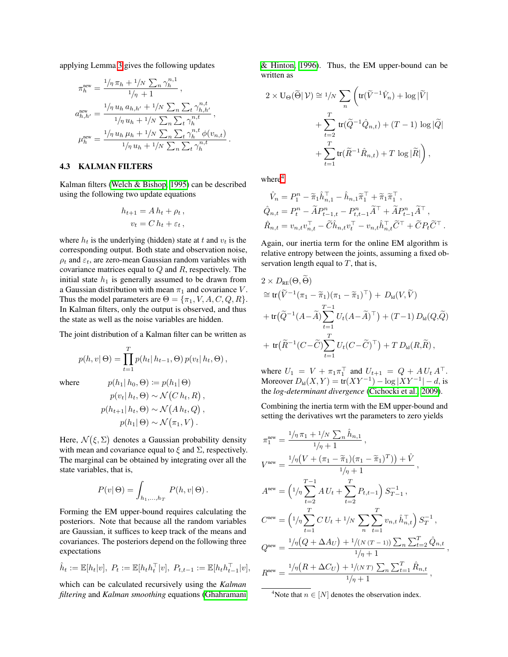applying Lemma  $\overline{3}$  gives the following updates

$$
\pi_h^{\text{new}} = \frac{1/\eta \, \pi_h + 1/N \sum_n \gamma_h^{n,1}}{1/\eta + 1},
$$
\n
$$
a_{h,h'}^{\text{new}} = \frac{1/\eta \, u_h \, a_{h,h'} + 1/N \sum_n \sum_t \gamma_{h,h'}^{n,t}}{1/\eta \, u_h + 1/N \sum_n \sum_t \gamma_h^{n,t}},
$$
\n
$$
\mu_h^{\text{new}} = \frac{1/\eta \, u_h \, \mu_h + 1/N \sum_n \sum_t \gamma_h^{n,t} \phi(v_{n,t})}{1/\eta \, u_h + 1/N \sum_n \sum_t \gamma_h^{n,t}}.
$$

#### 4.3 KALMAN FILTERS

Kalman filters (Welch & Bishop,  $\vert$ 1995) can be described using the following two update equations

$$
h_{t+1} = A h_t + \rho_t ,
$$
  

$$
v_t = C h_t + \varepsilon_t ,
$$

where  $h_t$  is the underlying (hidden) state at  $t$  and  $v_t$  is the corresponding output. Both state and observation noise,  $\rho_t$  and  $\varepsilon_t$ , are zero-mean Gaussian random variables with covariance matrices equal to *Q* and *R*, respectively. The initial state  $h_1$  is generally assumed to be drawn from a Gaussian distribution with mean  $\pi_1$  and covariance *V*. Thus the model parameters are  $\Theta = {\pi_1, V, A, C, Q, R}$ . In Kalman filters, only the output is observed, and thus the state as well as the noise variables are hidden.

The joint distribution of a Kalman filter can be written as

$$
p(h, v | \Theta) = \prod_{t=1}^{T} p(h_t | h_{t-1}, \Theta) p(v_t | h_t, \Theta),
$$

where  $p(h_1 | h_0, \Theta) := p(h_1 | \Theta)$ 

$$
p(v_t | h_t, \Theta) \sim \mathcal{N}(C h_t, R),
$$
  
 
$$
p(h_{t+1} | h_t, \Theta) \sim \mathcal{N}(A h_t, Q),
$$
  
 
$$
p(h_1 | \Theta) \sim \mathcal{N}(\pi_1, V).
$$

Here,  $\mathcal{N}(\xi, \Sigma)$  denotes a Gaussian probability density with mean and covariance equal to  $\xi$  and  $\Sigma$ , respectively. The marginal can be obtained by integrating over all the state variables, that is,

$$
P(v | \Theta) = \int_{h_1, \dots, h_T} P(h, v | \Theta).
$$

Forming the EM upper-bound requires calculating the posteriors. Note that because all the random variables are Gaussian, it suffices to keep track of the means and covariances. The posteriors depend on the following three expectations

$$
\hat{h}_t := \mathbb{E}[h_t|v], \ P_t := \mathbb{E}[h_t h_t^{\top} |v], \ P_{t,t-1} := \mathbb{E}[h_t h_{t-1}^{\top} |v],
$$

which can be calculated recursively using the *Kalman filtering* and *Kalman smoothing* equations [\(Ghahramani](#page-9-23)  $\&$  Hinton, 1996). Thus, the EM upper-bound can be written as

$$
2 \times U_{\Theta}(\widetilde{\Theta}|\mathcal{V}) \cong 1/N \sum_{n} \left( \text{tr}(\widetilde{V}^{-1}\hat{V}_{n}) + \log |\widetilde{V}| \right. \\ \left. + \sum_{t=2}^{T} \text{tr}(\widetilde{Q}^{-1}\hat{Q}_{n,t}) + (T - 1) \log |\widetilde{Q}| \right. \\ \left. + \sum_{t=1}^{T} \text{tr}(\widetilde{R}^{-1}\hat{R}_{n,t}) + T \log |\widetilde{R}| \right),
$$

where $\sqrt[4]{\frac{4}{5}}$  $\sqrt[4]{\frac{4}{5}}$  $\sqrt[4]{\frac{4}{5}}$ 

$$
\hat{V}_n = P_1^n - \tilde{\pi}_1 \hat{h}_{n,1}^\top - \hat{h}_{n,1} \tilde{\pi}_1^\top + \tilde{\pi}_1 \tilde{\pi}_1^\top,
$$
\n
$$
\hat{Q}_{n,t} = P_t^n - \tilde{A} P_{t-1,t}^n - P_{t,t-1}^n \tilde{A}^\top + \tilde{A} P_{t-1}^n \tilde{A}^\top,
$$
\n
$$
\hat{R}_{n,t} = v_{n,t} v_{n,t}^\top - \tilde{C} \hat{h}_{n,t} v_t^\top - v_{n,t} \hat{h}_{n,t}^\top \tilde{C}^\top + \tilde{C} P_t \tilde{C}^\top.
$$

Again, our inertia term for the online EM algorithm is relative entropy between the joints, assuming a fixed observation length equal to *T*, that is,

$$
2 \times D_{RE}(\Theta, \widetilde{\Theta})
$$
  
\n
$$
\cong \text{tr}(\widetilde{V}^{-1}(\pi_1 - \widetilde{\pi}_1)(\pi_1 - \widetilde{\pi}_1)^\top) + D_{\text{ld}}(V, \widetilde{V})
$$
  
\n
$$
+ \text{tr}(\widetilde{Q}^{-1}(A - \widetilde{A}) \sum_{t=1}^{T-1} U_t(A - \widetilde{A})^\top) + (T - 1) D_{\text{ld}}(Q, \widetilde{Q})
$$
  
\n
$$
+ \text{tr}(\widetilde{R}^{-1}(C - \widetilde{C}) \sum_{t=1}^T U_t(C - \widetilde{C})^\top) + TD_{\text{ld}}(R, \widetilde{R}),
$$

where  $U_1 = V + \pi_1 \pi_1^{\perp}$  and  $U_{t+1} = Q + A U_t A^{\perp}$ . Moreover  $D_{\text{ld}}(X, Y) = \text{tr}(XY^{-1}) - \log |XY^{-1}| - d$ , is the *log-determinant divergence* [\(Cichocki et al., 2009\)](#page-9-30).

Combining the inertia term with the EM upper-bound and setting the derivatives wrt the parameters to zero yields

$$
\pi_1^{\text{new}} = \frac{1/\eta \pi_1 + 1/N \sum_n \hat{h}_{n,1}}{1/\eta + 1},
$$
\n
$$
V^{\text{new}} = \frac{1/\eta (V + (\pi_1 - \tilde{\pi}_1)(\pi_1 - \tilde{\pi}_1)^T)) + \hat{V}}{1/\eta + 1},
$$
\n
$$
A^{\text{new}} = \left(1/\eta \sum_{t=2}^{T-1} A U_t + \sum_{t=2}^T P_{t,t-1}\right) S_{T-1}^{-1},
$$
\n
$$
C^{\text{new}} = \left(1/\eta \sum_{t=1}^T C U_t + 1/N \sum_n \sum_{t=1}^T v_{n,t} \hat{h}_{n,t}^\top\right) S_T^{-1},
$$
\n
$$
Q^{\text{new}} = \frac{1/\eta (Q + \Delta A_U) + 1/(N (T - 1)) \sum_n \sum_{t=2}^T \hat{Q}_{n,t}}{1/\eta + 1},
$$
\n
$$
R^{\text{new}} = \frac{1/\eta (R + \Delta C_U) + 1/(N T) \sum_n \sum_{t=1}^T \hat{R}_{n,t}}{1/\eta + 1},
$$

<span id="page-5-0"></span><sup>4</sup>Note that  $n \in [N]$  denotes the observation index.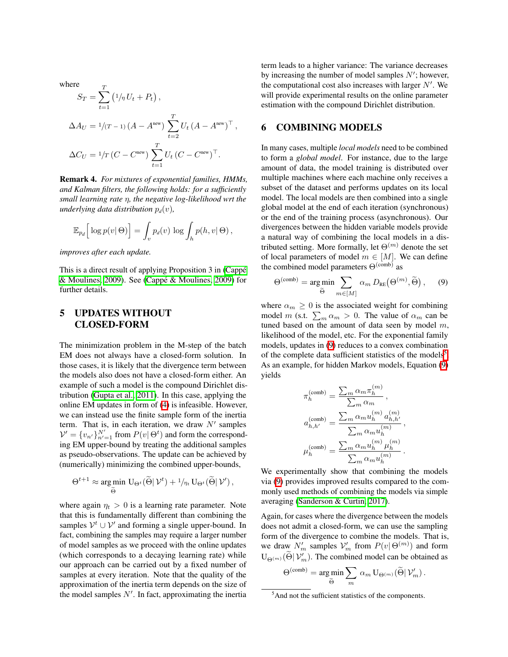where

 $\sqrt{ }$ 

$$
S_T = \sum_{t=1}^{T} (1/\eta U_t + P_t),
$$
  
\n
$$
\Delta A_U = 1/(T - 1) (A - A^{new}) \sum_{t=2}^{T} U_t (A - A^{new})^{\top},
$$
  
\n
$$
\Delta C_U = 1/T (C - C^{new}) \sum_{t=1}^{T} U_t (C - C^{new})^{\top}.
$$

Remark 4. *For mixtures of exponential families, HMMs, and Kalman filters, the following holds: for a sufficiently small learning rate* ⌘*, the negative log-likelihood wrt the underlying data distribution*  $p_d(v)$ *,* 

$$
\mathbb{E}_{p_d}\Big[\log p(v|\,\Theta)\Big] = \int_v p_d(v) \, \log \int_h p(h,v|\,\Theta) \,,
$$

*improves after each update.*

This is a direct result of applying Proposition 3 in (Cappé [& Moulines, 2009\)](#page-9-1). See (Cappé & Moulines, 2009) for further details.

# 5 UPDATES WITHOUT CLOSED-FORM

The minimization problem in the M-step of the batch EM does not always have a closed-form solution. In those cases, it is likely that the divergence term between the models also does not have a closed-form either. An example of such a model is the compound Dirichlet distribution (Gupta et al.,  $[2011]$ ). In this case, applying the online EM updates in form of  $\overline{4}$  is infeasible. However, we can instead use the finite sample form of the inertia term. That is, in each iteration, we draw  $N'$  samples  $V' = \{v_{n'}\}_{n'=1}^{N'}$  from  $P(v | \Theta^t)$  and form the corresponding EM upper-bound by treating the additional samples as pseudo-observations. The update can be achieved by (numerically) minimizing the combined upper-bounds,

$$
\Theta^{t+1} \approx \underset{\widetilde{\Theta}}{\arg\min} \mathbf{U}_{\Theta^t}(\widetilde{\Theta}|\mathcal{V}^t) + \frac{1}{\eta_t} \mathbf{U}_{\Theta^t}(\widetilde{\Theta}|\mathcal{V}'),
$$

where again  $\eta_t > 0$  is a learning rate parameter. Note that this is fundamentally different than combining the samples  $V^t \cup V'$  and forming a single upper-bound. In fact, combining the samples may require a larger number of model samples as we proceed with the online updates (which corresponds to a decaying learning rate) while our approach can be carried out by a fixed number of samples at every iteration. Note that the quality of the approximation of the inertia term depends on the size of the model samples  $N'$ . In fact, approximating the inertia

term leads to a higher variance: The variance decreases by increasing the number of model samples N'; however, the computational cost also increases with larger *N'*. We will provide experimental results on the online parameter estimation with the compound Dirichlet distribution.

# <span id="page-6-2"></span>6 COMBINING MODELS

In many cases, multiple *local models* need to be combined to form a *global model*. For instance, due to the large amount of data, the model training is distributed over multiple machines where each machine only receives a subset of the dataset and performs updates on its local model. The local models are then combined into a single global model at the end of each iteration (synchronous) or the end of the training process (asynchronous). Our divergences between the hidden variable models provide a natural way of combining the local models in a distributed setting. More formally, let  $\Theta^{(m)}$  denote the set of local parameters of model  $m \in [M]$ . We can define the combined model parameters  $\Theta^{\text{(comb)}}$  as

<span id="page-6-0"></span>
$$
\Theta^{(\text{comb})} = \underset{\widetilde{\Theta}}{\arg \min} \sum_{m \in [M]} \alpha_m D_{\text{RE}}(\Theta^{(m)}, \widetilde{\Theta}), \quad (9)
$$

where  $\alpha_m \geq 0$  is the associated weight for combining model *m* (s.t.  $\sum_{m} \alpha_m > 0$ . The value of  $\alpha_m$  can be tuned based on the amount of data seen by model *m*, likelihood of the model, etc. For the exponential family models, updates in  $\left(9\right)$  reduces to a convex combination of the complete data sufficient statistics of the models<sup>5</sup> As an example, for hidden Markov models, Equation  $(9)$ yields

$$
\pi_h^{(\text{comb})} = \frac{\sum_m \alpha_m \pi_h^{(m)}}{\sum_m \alpha_m},
$$
\n
$$
a_{h,h'}^{(\text{comb})} = \frac{\sum_m \alpha_m u_h^{(m)} a_{h,h'}^{(m)}}{\sum_m \alpha_m u_h^{(m)}},
$$
\n
$$
\mu_h^{(\text{comb})} = \frac{\sum_m \alpha_m u_h^{(m)} \mu_h^{(m)}}{\sum_m \alpha_m u_h^{(m)}}.
$$

We experimentally show that combining the models via [\(9\)](#page-6-0) provides improved results compared to the commonly used methods of combining the models via simple averaging [\(Sanderson & Curtin, 2017\)](#page-9-31).

Again, for cases where the divergence between the models does not admit a closed-form, we can use the sampling form of the divergence to combine the models. That is, we draw  $N'_m$  samples  $V'_m$  from  $P(v | \Theta^{(m)})$  and form  $U_{\Theta^{(m)}}(\Theta | \mathcal{V}'_m)$ . The combined model can be obtained as

$$
\Theta^{\rm (comb)} = \argmin_{\widetilde{\Theta}} \sum_m \, \alpha_m \, \mathbf{U}_{\Theta^{(m)}}(\widetilde{\Theta}|\, \mathcal{V}'_m) \, .
$$

<span id="page-6-1"></span><sup>&</sup>lt;sup>5</sup> And not the sufficient statistics of the components.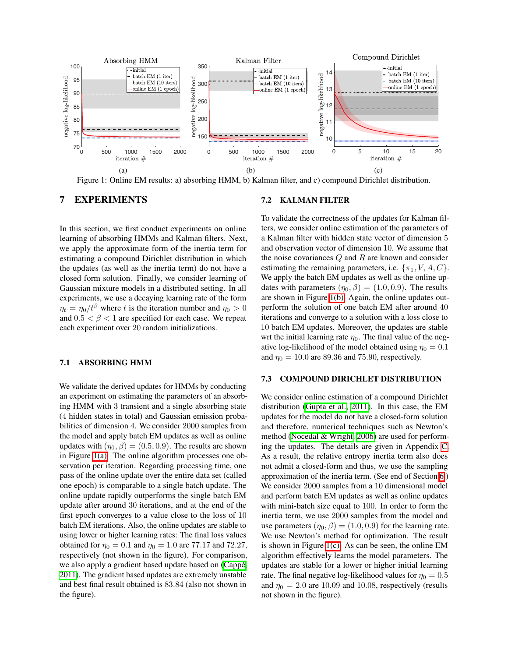<span id="page-7-0"></span>

Figure 1: Online EM results: a) absorbing HMM, b) Kalman filter, and c) compound Dirichlet distribution.

# 7 EXPERIMENTS

In this section, we first conduct experiments on online learning of absorbing HMMs and Kalman filters. Next, we apply the approximate form of the inertia term for estimating a compound Dirichlet distribution in which the updates (as well as the inertia term) do not have a closed form solution. Finally, we consider learning of Gaussian mixture models in a distributed setting. In all experiments, we use a decaying learning rate of the form  $\eta_t = \eta_0/t^{\beta}$  where *t* is the iteration number and  $\eta_0 > 0$ and  $0.5 < \beta < 1$  are specified for each case. We repeat each experiment over 20 random initializations.

#### 7.1 ABSORBING HMM

We validate the derived updates for HMMs by conducting an experiment on estimating the parameters of an absorbing HMM with 3 transient and a single absorbing state (4 hidden states in total) and Gaussian emission probabilities of dimension 4. We consider 2000 samples from the model and apply batch EM updates as well as online updates with  $(\eta_0, \beta) = (0.5, 0.9)$ . The results are shown in Figure  $\overline{1(a)}$ . The online algorithm processes one observation per iteration. Regarding processing time, one pass of the online update over the entire data set (called one epoch) is comparable to a single batch update. The online update rapidly outperforms the single batch EM update after around 30 iterations, and at the end of the first epoch converges to a value close to the loss of 10 batch EM iterations. Also, the online updates are stable to using lower or higher learning rates: The final loss values obtained for  $\eta_0 = 0.1$  and  $\eta_0 = 1.0$  are 77.17 and 72.27, respectively (not shown in the figure). For comparison, we also apply a gradient based update based on (Cappé). [2011\)](#page-9-21). The gradient based updates are extremely unstable and best final result obtained is 83*.*84 (also not shown in the figure).

### <span id="page-7-2"></span><span id="page-7-1"></span>7.2 KALMAN FILTER

To validate the correctness of the updates for Kalman filters, we consider online estimation of the parameters of a Kalman filter with hidden state vector of dimension 5 and observation vector of dimension 10. We assume that the noise covariances *Q* and *R* are known and consider estimating the remaining parameters, i.e.  $\{\pi_1, V, A, C\}$ . We apply the batch EM updates as well as the online updates with parameters  $(\eta_0, \beta) = (1.0, 0.9)$ . The results are shown in Figure  $\overline{I(b)}$ . Again, the online updates outperform the solution of one batch EM after around 40 iterations and converge to a solution with a loss close to 10 batch EM updates. Moreover, the updates are stable wrt the initial learning rate  $\eta_0$ . The final value of the negative log-likelihood of the model obtained using  $\eta_0 = 0.1$ and  $\eta_0 = 10.0$  are 89.36 and 75.90, respectively.

#### 7.3 COMPOUND DIRICHLET DISTRIBUTION

We consider online estimation of a compound Dirichlet distribution (Gupta et al.,  $\boxed{2011}$ ). In this case, the EM updates for the model do not have a closed-form solution and therefore, numerical techniques such as Newton's method [\(Nocedal & Wright, 2006\)](#page-9-32) are used for performing the updates. The details are given in Appendix  $\overline{C}$ . As a result, the relative entropy inertia term also does not admit a closed-form and thus, we use the sampling approximation of the inertia term. (See end of Section  $\overline{6}$ .) We consider 2000 samples from a 10 dimensional model and perform batch EM updates as well as online updates with mini-batch size equal to 100. In order to form the inertia term, we use 2000 samples from the model and use parameters  $(\eta_0, \beta) = (1.0, 0.9)$  for the learning rate. We use Newton's method for optimization. The result is shown in Figure  $\overline{I(c)}$ . As can be seen, the online EM algorithm effectively learns the model parameters. The updates are stable for a lower or higher initial learning rate. The final negative log-likelihood values for  $\eta_0 = 0.5$ and  $\eta_0 = 2.0$  are 10.09 and 10.08, respectively (results not shown in the figure).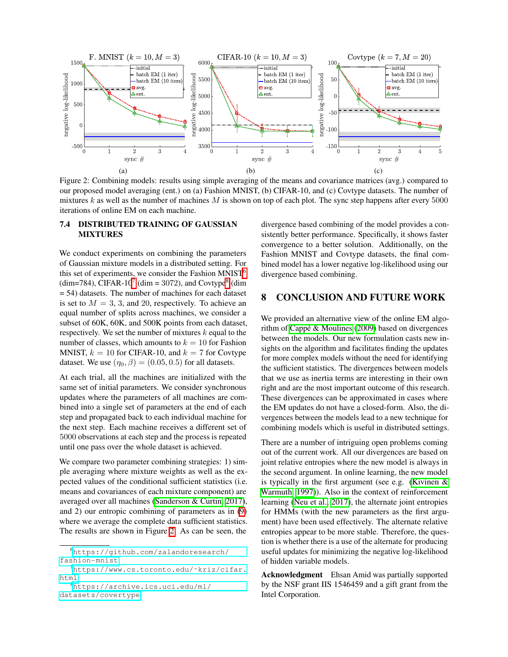<span id="page-8-3"></span>

Figure 2: Combining models: results using simple averaging of the means and covariance matrices (avg.) compared to our proposed model averaging (ent.) on (a) Fashion MNIST, (b) CIFAR-10, and (c) Covtype datasets. The number of mixtures *k* as well as the number of machines *M* is shown on top of each plot. The sync step happens after every 5000 iterations of online EM on each machine.

### 7.4 DISTRIBUTED TRAINING OF GAUSSIAN MIXTURES

We conduct experiments on combining the parameters of Gaussian mixture models in a distributed setting. For this set of experiments, we consider the Fashion MNIST $\frac{1}{6}$  $\frac{1}{6}$  $\frac{1}{6}$ (dim=[7](#page-8-1)84), CIFAR-10 $\sqrt{7}$  (dim = 3072), and Covtype<sup>8</sup> (dim = 54) datasets. The number of machines for each dataset is set to  $M = 3, 3$ , and 20, respectively. To achieve an equal number of splits across machines, we consider a subset of 60K, 60K, and 500K points from each dataset, respectively. We set the number of mixtures *k* equal to the number of classes, which amounts to  $k = 10$  for Fashion MNIST,  $k = 10$  for CIFAR-10, and  $k = 7$  for Covtype dataset. We use  $(\eta_0, \beta) = (0.05, 0.5)$  for all datasets.

At each trial, all the machines are initialized with the same set of initial parameters. We consider synchronous updates where the parameters of all machines are combined into a single set of parameters at the end of each step and propagated back to each individual machine for the next step. Each machine receives a different set of 5000 observations at each step and the process is repeated until one pass over the whole dataset is achieved.

We compare two parameter combining strategies: 1) simple averaging where mixture weights as well as the expected values of the conditional sufficient statistics (i.e. means and covariances of each mixture component) are averaged over all machines [\(Sanderson & Curtin, 2017\)](#page-9-31), and 2) our entropic combining of parameters as in  $(9)$ where we average the complete data sufficient statistics. The results are shown in Figure  $\overline{2}$ . As can be seen, the

<span id="page-8-2"></span><span id="page-8-1"></span><span id="page-8-0"></span>

| https://github.com/zalandoresearch/     |
|-----------------------------------------|
| fashion-mnist                           |
| https://www.cs.toronto.edu/~kriz/cifar. |
| html                                    |
| "https://archive.ics.uci.edu/ml/        |
| datasets/covertype                      |

divergence based combining of the model provides a consistently better performance. Specifically, it shows faster convergence to a better solution. Additionally, on the Fashion MNIST and Covtype datasets, the final combined model has a lower negative log-likelihood using our divergence based combining.

# 8 CONCLUSION AND FUTURE WORK

We provided an alternative view of the online EM algorithm of  $C$ appé & Moulines  $(2009)$  based on divergences between the models. Our new formulation casts new insights on the algorithm and facilitates finding the updates for more complex models without the need for identifying the sufficient statistics. The divergences between models that we use as inertia terms are interesting in their own right and are the most important outcome of this research. These divergences can be approximated in cases where the EM updates do not have a closed-form. Also, the divergences between the models lead to a new technique for combining models which is useful in distributed settings.

There are a number of intriguing open problems coming out of the current work. All our divergences are based on joint relative entropies where the new model is always in the second argument. In online learning, the new model is typically in the first argument (see e.g. (Kivinen  $\&$ [Warmuth, 1997\)](#page-9-33). Also in the context of reinforcement learning [\(Neu et al., 2017\)](#page-9-34), the alternate joint entropies for HMMs (with the new parameters as the first argument) have been used effectively. The alternate relative entropies appear to be more stable. Therefore, the question is whether there is a use of the alternate for producing useful updates for minimizing the negative log-likelihood of hidden variable models.

Acknowledgment Ehsan Amid was partially supported by the NSF grant IIS 1546459 and a gift grant from the Intel Corporation.